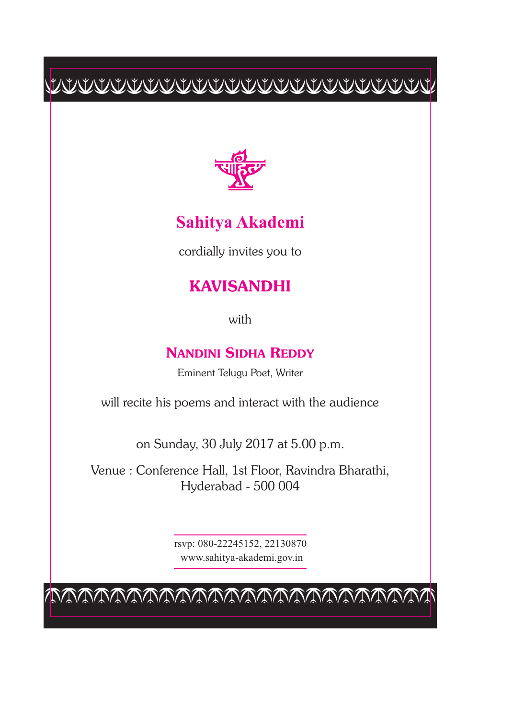$\frac{1}{2} \frac{1}{2} \frac{1}{2} \left( \frac{1}{2} \left( \frac{1}{2} \left( \frac{1}{2} \left( \frac{1}{2} \left( \frac{1}{2} \left( \frac{1}{2} \left( \frac{1}{2} \left( \frac{1}{2} \left( \frac{1}{2} \right) \left( \frac{1}{2} \left( \frac{1}{2} \right) \left( \frac{1}{2} \left( \frac{1}{2} \right) \left( \frac{1}{2} \right) \left( \frac{1}{2} \left( \frac{1}{2} \right) \left( \frac{1}{2} \right) \left( \frac{1}{2} \$ 



## **Sahitya Akademi**

cordially invites you to

## **KAVISANDHI**

with

## **NANDINI SIDHA REDDY**

Eminent Telugu Poet, Writer

will recite his poems and interact with the audience

on Sunday, 30 July 2017 at 5.00 p.m.

Venue : Conference Hall, 1st Floor, Ravindra Bharathi, Hyderabad - 500 004

> rsvp: 080-22245152, 22130870 www.sahitya-akademi.gov.in

cccccccccccccccccccccccc